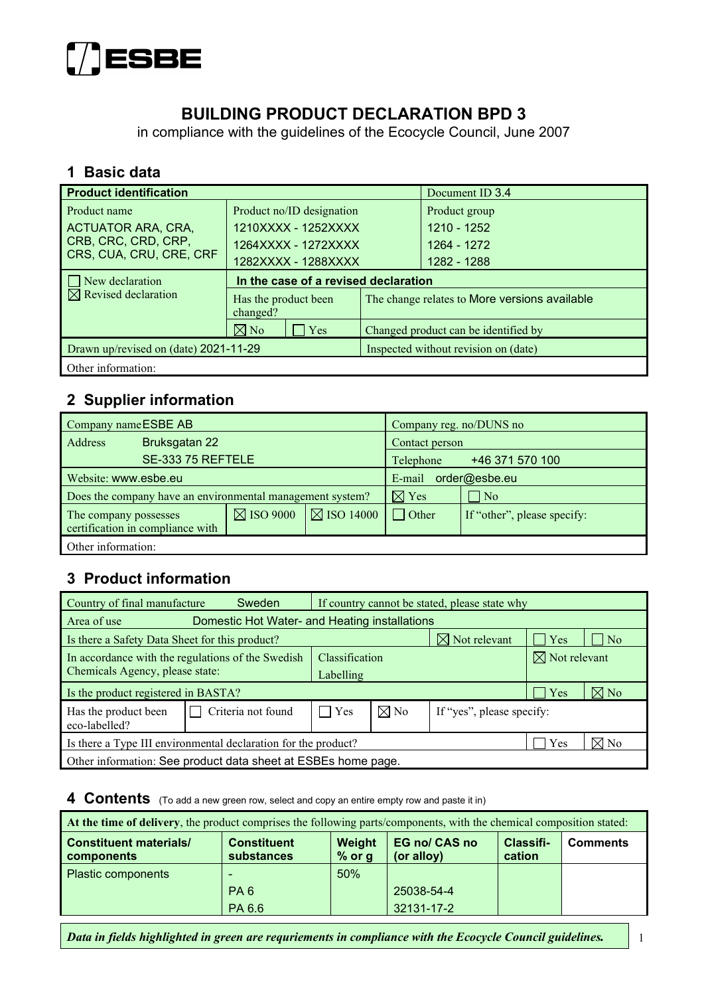

# **BUILDING PRODUCT DECLARATION BPD 3**

in compliance with the guidelines of the Ecocycle Council, June 2007

#### **1 Basic data**

| <b>Product identification</b>         |                                      |                                      | Document ID 3.4                               |  |
|---------------------------------------|--------------------------------------|--------------------------------------|-----------------------------------------------|--|
| Product name                          | Product no/ID designation            |                                      | Product group                                 |  |
| <b>ACTUATOR ARA, CRA,</b>             | 1210XXXX - 1252XXXX                  |                                      | 1210 - 1252                                   |  |
| CRB, CRC, CRD, CRP,                   | 1264XXXX - 1272XXXX                  |                                      | 1264 - 1272                                   |  |
| CRS, CUA, CRU, CRE, CRF               | 1282XXXX - 1288XXXX                  |                                      | 1282 - 1288                                   |  |
| New declaration                       | In the case of a revised declaration |                                      |                                               |  |
| $\boxtimes$ Revised declaration       | Has the product been<br>changed?     |                                      | The change relates to More versions available |  |
|                                       | $\boxtimes$ No<br>Yes                | Changed product can be identified by |                                               |  |
| Drawn up/revised on (date) 2021-11-29 |                                      | Inspected without revision on (date) |                                               |  |
| Other information:                    |                                      |                                      |                                               |  |

## **2 Supplier information**

| Company name ESBE AB  |                                                           |                      |                         | Company reg. no/DUNS no      |                             |  |
|-----------------------|-----------------------------------------------------------|----------------------|-------------------------|------------------------------|-----------------------------|--|
| Address               | Bruksgatan 22                                             |                      |                         | Contact person               |                             |  |
|                       | SE-333 75 REFTELE                                         |                      |                         | +46 371 570 100<br>Telephone |                             |  |
| Website: www.esbe.eu  |                                                           |                      | order@esbe.eu<br>E-mail |                              |                             |  |
|                       | Does the company have an environmental management system? |                      |                         | $\boxtimes$ Yes              | $\overline{N_0}$            |  |
| The company possesses | certification in compliance with                          | $\boxtimes$ ISO 9000 | $\boxtimes$ ISO 14000   | $\Box$ Other                 | If "other", please specify: |  |
| Other information:    |                                                           |                      |                         |                              |                             |  |

#### **3 Product information**

| Country of final manufacture                                   | Sweden             | If country cannot be stated, please state why |                |                           |                          |                     |
|----------------------------------------------------------------|--------------------|-----------------------------------------------|----------------|---------------------------|--------------------------|---------------------|
| Domestic Hot Water- and Heating installations<br>Area of use   |                    |                                               |                |                           |                          |                     |
| Is there a Safety Data Sheet for this product?                 |                    |                                               |                | $\boxtimes$ Not relevant  | $\vert$ Yes              | $\overline{\rm No}$ |
| In accordance with the regulations of the Swedish              |                    | Classification                                |                |                           | $\boxtimes$ Not relevant |                     |
| Chemicals Agency, please state:                                |                    |                                               | Labelling      |                           |                          |                     |
| Is the product registered in BASTA?                            |                    |                                               |                |                           | Yes                      | $\boxtimes$ No      |
| Has the product been<br>eco-labelled?                          | Criteria not found | Yes                                           | $\boxtimes$ No | If "yes", please specify: |                          |                     |
| Is there a Type III environmental declaration for the product? |                    |                                               |                | Yes                       | $\boxtimes$ No           |                     |
| Other information: See product data sheet at ESBEs home page.  |                    |                                               |                |                           |                          |                     |

#### **4 Contents** (To add a new green row, select and copy an entire empty row and paste it in)

| At the time of delivery, the product comprises the following parts/components, with the chemical composition stated: |                                         |                    |                                    |                     |                 |  |  |
|----------------------------------------------------------------------------------------------------------------------|-----------------------------------------|--------------------|------------------------------------|---------------------|-----------------|--|--|
| <b>Constituent materials/</b><br>components                                                                          | <b>Constituent</b><br><b>substances</b> | Weight<br>$%$ or g | <b>EG no/ CAS no</b><br>(or alloy) | Classifi-<br>cation | <b>Comments</b> |  |  |
| <b>Plastic components</b>                                                                                            |                                         | 50%                |                                    |                     |                 |  |  |
|                                                                                                                      | PA <sub>6</sub>                         |                    | 25038-54-4                         |                     |                 |  |  |
|                                                                                                                      | PA 6.6                                  |                    | 32131-17-2                         |                     |                 |  |  |

*Data in fields highlighted in green are requriements in compliance with the Ecocycle Council guidelines.* 1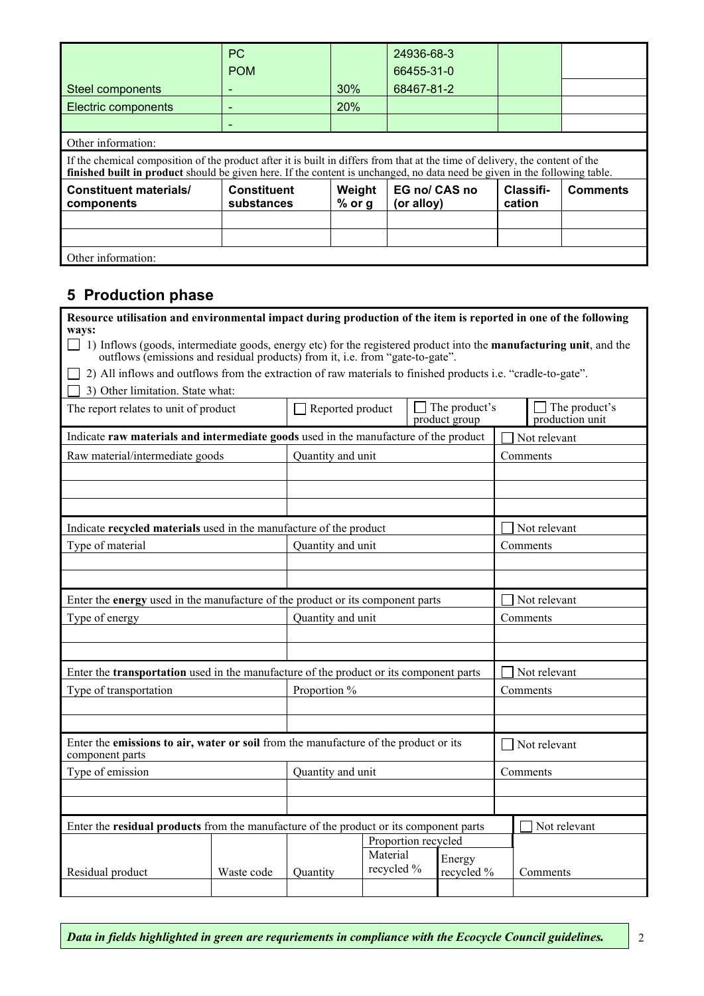|                                                                                                                                                                                                                                                             | <b>PC</b>                        |                    | 24936-68-3                  |                     |                 |  |  |
|-------------------------------------------------------------------------------------------------------------------------------------------------------------------------------------------------------------------------------------------------------------|----------------------------------|--------------------|-----------------------------|---------------------|-----------------|--|--|
|                                                                                                                                                                                                                                                             | <b>POM</b>                       |                    | 66455-31-0                  |                     |                 |  |  |
| Steel components                                                                                                                                                                                                                                            |                                  | 30%                | 68467-81-2                  |                     |                 |  |  |
| Electric components                                                                                                                                                                                                                                         |                                  | <b>20%</b>         |                             |                     |                 |  |  |
|                                                                                                                                                                                                                                                             |                                  |                    |                             |                     |                 |  |  |
| Other information:                                                                                                                                                                                                                                          |                                  |                    |                             |                     |                 |  |  |
| If the chemical composition of the product after it is built in differs from that at the time of delivery, the content of the<br>finished built in product should be given here. If the content is unchanged, no data need be given in the following table. |                                  |                    |                             |                     |                 |  |  |
| <b>Constituent materials/</b><br>components                                                                                                                                                                                                                 | <b>Constituent</b><br>substances | Weight<br>$%$ or g | EG no/ CAS no<br>(or alloy) | Classifi-<br>cation | <b>Comments</b> |  |  |
|                                                                                                                                                                                                                                                             |                                  |                    |                             |                     |                 |  |  |
|                                                                                                                                                                                                                                                             |                                  |                    |                             |                     |                 |  |  |
| Other information:                                                                                                                                                                                                                                          |                                  |                    |                             |                     |                 |  |  |

# **5 Production phase**

| Resource utilisation and environmental impact during production of the item is reported in one of the following<br>ways:                                                                                           |            |                                                                                               |                        |                                       |              |                                         |  |
|--------------------------------------------------------------------------------------------------------------------------------------------------------------------------------------------------------------------|------------|-----------------------------------------------------------------------------------------------|------------------------|---------------------------------------|--------------|-----------------------------------------|--|
| $\Box$ 1) Inflows (goods, intermediate goods, energy etc) for the registered product into the <b>manufacturing unit</b> , and the<br>outflows (emissions and residual products) from it, i.e. from "gate-to-gate". |            |                                                                                               |                        |                                       |              |                                         |  |
| 2) All inflows and outflows from the extraction of raw materials to finished products i.e. "cradle-to-gate".                                                                                                       |            |                                                                                               |                        |                                       |              |                                         |  |
| 3) Other limitation. State what:                                                                                                                                                                                   |            |                                                                                               |                        |                                       |              |                                         |  |
| The report relates to unit of product                                                                                                                                                                              |            | $\Box$ Reported product                                                                       |                        | $\Box$ The product's<br>product group |              | $\Box$ The product's<br>production unit |  |
| Indicate raw materials and intermediate goods used in the manufacture of the product                                                                                                                               |            |                                                                                               |                        |                                       |              | Not relevant                            |  |
| Raw material/intermediate goods                                                                                                                                                                                    |            | Quantity and unit                                                                             |                        |                                       |              | Comments                                |  |
|                                                                                                                                                                                                                    |            |                                                                                               |                        |                                       |              |                                         |  |
|                                                                                                                                                                                                                    |            |                                                                                               |                        |                                       |              |                                         |  |
|                                                                                                                                                                                                                    |            |                                                                                               |                        |                                       |              |                                         |  |
| Indicate recycled materials used in the manufacture of the product                                                                                                                                                 |            |                                                                                               |                        |                                       |              | Not relevant                            |  |
| Type of material                                                                                                                                                                                                   |            | Quantity and unit                                                                             |                        |                                       |              | Comments                                |  |
|                                                                                                                                                                                                                    |            |                                                                                               |                        |                                       |              |                                         |  |
|                                                                                                                                                                                                                    |            |                                                                                               |                        |                                       |              |                                         |  |
| Enter the energy used in the manufacture of the product or its component parts                                                                                                                                     |            |                                                                                               |                        |                                       | Not relevant |                                         |  |
| Type of energy                                                                                                                                                                                                     |            | Quantity and unit                                                                             |                        |                                       |              | Comments                                |  |
|                                                                                                                                                                                                                    |            |                                                                                               |                        |                                       |              |                                         |  |
|                                                                                                                                                                                                                    |            |                                                                                               |                        |                                       |              |                                         |  |
|                                                                                                                                                                                                                    |            | Enter the <b>transportation</b> used in the manufacture of the product or its component parts |                        |                                       |              | Not relevant                            |  |
| Type of transportation                                                                                                                                                                                             |            | Proportion %                                                                                  |                        |                                       |              | Comments                                |  |
|                                                                                                                                                                                                                    |            |                                                                                               |                        |                                       |              |                                         |  |
|                                                                                                                                                                                                                    |            |                                                                                               |                        |                                       |              |                                         |  |
| Enter the emissions to air, water or soil from the manufacture of the product or its<br>component parts                                                                                                            |            |                                                                                               |                        |                                       |              | Not relevant                            |  |
| Type of emission                                                                                                                                                                                                   |            | Quantity and unit                                                                             |                        |                                       |              | Comments                                |  |
|                                                                                                                                                                                                                    |            |                                                                                               |                        |                                       |              |                                         |  |
|                                                                                                                                                                                                                    |            |                                                                                               |                        |                                       |              |                                         |  |
| Enter the residual products from the manufacture of the product or its component parts                                                                                                                             |            |                                                                                               |                        |                                       |              | Not relevant                            |  |
|                                                                                                                                                                                                                    |            |                                                                                               | Proportion recycled    |                                       |              |                                         |  |
|                                                                                                                                                                                                                    |            |                                                                                               | Material<br>recycled % | Energy                                |              |                                         |  |
| Residual product                                                                                                                                                                                                   | Waste code | Quantity                                                                                      |                        | recycled %                            |              | Comments                                |  |
|                                                                                                                                                                                                                    |            |                                                                                               |                        |                                       |              |                                         |  |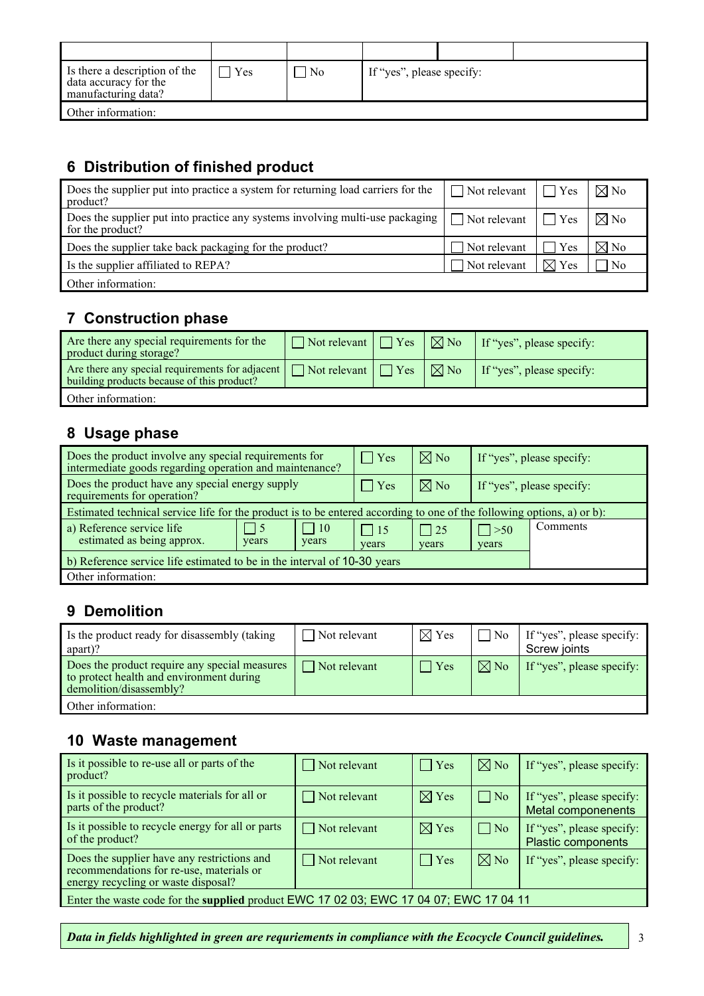| Is there a description of the<br>data accuracy for the<br>manufacturing data? | Yes | l No | If "yes", please specify: |  |
|-------------------------------------------------------------------------------|-----|------|---------------------------|--|
| Other information:                                                            |     |      |                           |  |

# **6 Distribution of finished product**

| Does the supplier put into practice a system for returning load carriers for the<br>product?      | $\Box$ Not relevant $\Box$ | Yes                | $\nabla$ No    |
|---------------------------------------------------------------------------------------------------|----------------------------|--------------------|----------------|
| Does the supplier put into practice any systems involving multi-use packaging<br>for the product? | $\Box$ Not relevant $\Box$ | $\blacksquare$ Yes | $\boxtimes$ No |
| Does the supplier take back packaging for the product?                                            | Not relevant               | Yes                | $\boxtimes$ No |
| Is the supplier affiliated to REPA?                                                               | Not relevant               | $\boxtimes$ Yes    | $\overline{N}$ |
| Other information:                                                                                |                            |                    |                |

## **7 Construction phase**

| Are there any special requirements for the<br>product during storage?                         | $\Box$ Not relevant $\Box$ Yes | $\sqrt{2 N_0}$  | If "yes", please specify: |
|-----------------------------------------------------------------------------------------------|--------------------------------|-----------------|---------------------------|
| Are there any special requirements for adjacent<br>building products because of this product? | $\Box$ Not relevant $\Box$ Yes | $\mathsf{R}$ No | If "yes", please specify: |
| Other information:                                                                            |                                |                 |                           |

#### **8 Usage phase**

| Does the product involve any special requirements for<br>intermediate goods regarding operation and maintenance?       |                    |                     | $\vert \vert$ Yes     | $\boxtimes$ No        | If "yes", please specify: |          |
|------------------------------------------------------------------------------------------------------------------------|--------------------|---------------------|-----------------------|-----------------------|---------------------------|----------|
| Does the product have any special energy supply<br>requirements for operation?                                         |                    |                     | $\vert$ Yes           | $\boxtimes$ No        | If "yes", please specify: |          |
| Estimated technical service life for the product is to be entered according to one of the following options, a) or b): |                    |                     |                       |                       |                           |          |
| a) Reference service life<br>estimated as being approx.                                                                | $\vert$ 5<br>years | $\vert$ 10<br>years | $\vert$   15<br>years | $\vert$   25<br>years | $\vert > 50$<br>years     | Comments |
| b) Reference service life estimated to be in the interval of 10-30 years                                               |                    |                     |                       |                       |                           |          |
| Other information:                                                                                                     |                    |                     |                       |                       |                           |          |

# **9 Demolition**

| Is the product ready for disassembly (taking<br>apart)?                                                              | Not relevant        | $\boxtimes$ Yes | $\overline{N_{0}}$ | If "yes", please specify:<br>Screw joints |
|----------------------------------------------------------------------------------------------------------------------|---------------------|-----------------|--------------------|-------------------------------------------|
| Does the product require any special measures<br>to protect health and environment during<br>demolition/disassembly? | $\Box$ Not relevant | $\Box$ Yes      | $\boxtimes$ No     | If "yes", please specify:                 |
| Other information:                                                                                                   |                     |                 |                    |                                           |

## **10 Waste management**

| Is it possible to re-use all or parts of the<br>product?                                                                       | $\Box$ Not relevant | $\Box$ Yes      | $\nabla$ No    | If "yes", please specify:                              |  |  |
|--------------------------------------------------------------------------------------------------------------------------------|---------------------|-----------------|----------------|--------------------------------------------------------|--|--|
| Is it possible to recycle materials for all or<br>parts of the product?                                                        | $\Box$ Not relevant | $\boxtimes$ Yes | $\Box$ No      | If "yes", please specify:<br><b>Metal componenents</b> |  |  |
| Is it possible to recycle energy for all or parts<br>of the product?                                                           | $\Box$ Not relevant | $\boxtimes$ Yes | $\vert$   No   | If "yes", please specify:<br><b>Plastic components</b> |  |  |
| Does the supplier have any restrictions and<br>recommendations for re-use, materials or<br>energy recycling or waste disposal? | $\Box$ Not relevant | $\Box$ Yes      | $\boxtimes$ No | If "yes", please specify:                              |  |  |
| Enter the waste code for the supplied product EWC 17 02 03; EWC 17 04 07; EWC 17 04 11                                         |                     |                 |                |                                                        |  |  |

*Data in fields highlighted in green are requriements in compliance with the Ecocycle Council guidelines.*  $\begin{vmatrix} 3 & 3 \\ 3 & 3 \end{vmatrix}$